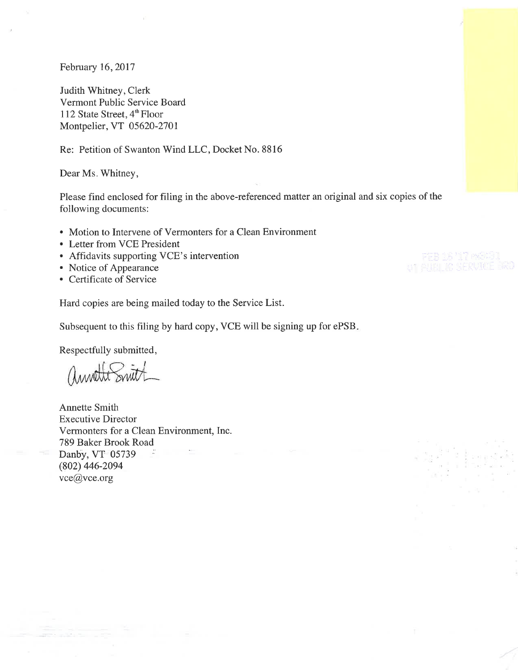February 16, 2017

Judith Whitney, Clerk Vermont Public Service Board 112 State Street, 4<sup>th</sup> Floor Montpelier, VT 05620-2701

Re: Petition of Swanton Wind LLC, Docket No. 8816

Dear Ms. Whitney,

Please find enclosed for filing in the above-referenced matter an original and six copies of the following documents:

- Motion to Intervene of Vermonters for a Clean Environment
- Letter from VCE President
- Affidavits supporting VCE's intervention
- Notice of Appearance
- Certificate of Service

Hard copies are being mailed today to the Service List.

Subsequent to this filing by hard copy, VCE will be signing up for ePSB.

Respectfully submitted,

annothe Smith

**Annette Smith Executive Director** Vermonters for a Clean Environment, Inc. 789 Baker Brook Road Danby, VT 05739  $(802)$  446-2094 vce@vce.org